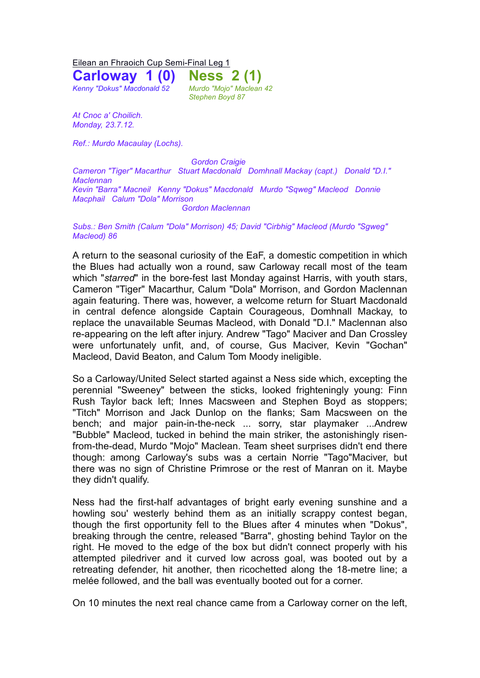Eilean an Fhraoich Cup Semi-Final Leg 1

**Carloway 1 (0) Ness 2 (1)** *Kenny "Dokus" Macdonald 52 Murdo "Mojo" Maclean 42 Stephen Boyd 87* 

*At Cnoc a' Choilich. Monday, 23.7.12.*

*Ref.: Murdo Macaulay (Lochs).*

*Gordon Craigie*

*Cameron "Tiger" Macarthur Stuart Macdonald Domhnall Mackay (capt.) Donald "D.I." Maclennan Kevin "Barra" Macneil Kenny "Dokus" Macdonald Murdo "Sqweg" Macleod Donnie Macphail Calum "Dola" Morrison Gordon Maclennan*

*Subs.: Ben Smith (Calum "Dola" Morrison) 45; David "Cirbhig" Macleod (Murdo "Sgweg" Macleod) 86*

A return to the seasonal curiosity of the EaF, a domestic competition in which the Blues had actually won a round, saw Carloway recall most of the team which "*starred*" in the bore-fest last Monday against Harris, with youth stars, Cameron "Tiger" Macarthur, Calum "Dola" Morrison, and Gordon Maclennan again featuring. There was, however, a welcome return for Stuart Macdonald in central defence alongside Captain Courageous, Domhnall Mackay, to replace the unavailable Seumas Macleod, with Donald "D.I." Maclennan also re-appearing on the left after injury. Andrew "Tago" Maciver and Dan Crossley were unfortunately unfit, and, of course, Gus Maciver, Kevin "Gochan" Macleod, David Beaton, and Calum Tom Moody ineligible.

So a Carloway/United Select started against a Ness side which, excepting the perennial "Sweeney" between the sticks, looked frighteningly young: Finn Rush Taylor back left; Innes Macsween and Stephen Boyd as stoppers; "Titch" Morrison and Jack Dunlop on the flanks; Sam Macsween on the bench; and major pain-in-the-neck ... sorry, star playmaker ...Andrew "Bubble" Macleod, tucked in behind the main striker, the astonishingly risenfrom-the-dead, Murdo "Mojo" Maclean. Team sheet surprises didn't end there though: among Carloway's subs was a certain Norrie "Tago"Maciver, but there was no sign of Christine Primrose or the rest of Manran on it. Maybe they didn't qualify.

Ness had the first-half advantages of bright early evening sunshine and a howling sou' westerly behind them as an initially scrappy contest began, though the first opportunity fell to the Blues after 4 minutes when "Dokus", breaking through the centre, released "Barra", ghosting behind Taylor on the right. He moved to the edge of the box but didn't connect properly with his attempted piledriver and it curved low across goal, was booted out by a retreating defender, hit another, then ricochetted along the 18-metre line; a melée followed, and the ball was eventually booted out for a corner.

On 10 minutes the next real chance came from a Carloway corner on the left,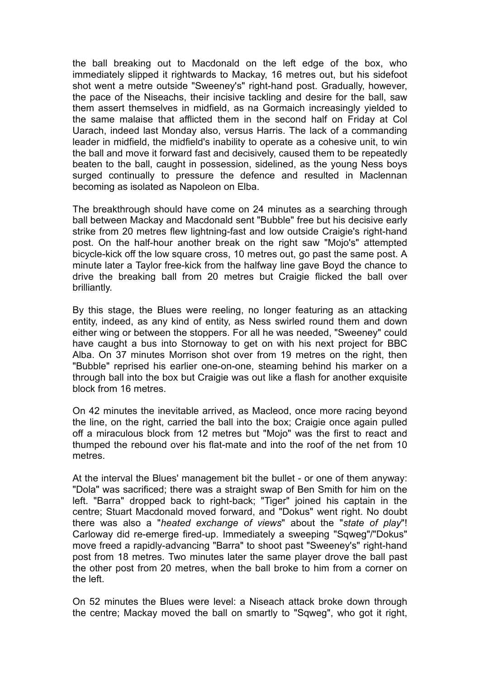the ball breaking out to Macdonald on the left edge of the box, who immediately slipped it rightwards to Mackay, 16 metres out, but his sidefoot shot went a metre outside "Sweeney's" right-hand post. Gradually, however, the pace of the Niseachs, their incisive tackling and desire for the ball, saw them assert themselves in midfield, as na Gormaich increasingly yielded to the same malaise that afflicted them in the second half on Friday at Col Uarach, indeed last Monday also, versus Harris. The lack of a commanding leader in midfield, the midfield's inability to operate as a cohesive unit, to win the ball and move it forward fast and decisively, caused them to be repeatedly beaten to the ball, caught in possession, sidelined, as the young Ness boys surged continually to pressure the defence and resulted in Maclennan becoming as isolated as Napoleon on Elba.

The breakthrough should have come on 24 minutes as a searching through ball between Mackay and Macdonald sent "Bubble" free but his decisive early strike from 20 metres flew lightning-fast and low outside Craigie's right-hand post. On the half-hour another break on the right saw "Mojo's" attempted bicycle-kick off the low square cross, 10 metres out, go past the same post. A minute later a Taylor free-kick from the halfway line gave Boyd the chance to drive the breaking ball from 20 metres but Craigie flicked the ball over brilliantly.

By this stage, the Blues were reeling, no longer featuring as an attacking entity, indeed, as any kind of entity, as Ness swirled round them and down either wing or between the stoppers. For all he was needed, "Sweeney" could have caught a bus into Stornoway to get on with his next project for BBC Alba. On 37 minutes Morrison shot over from 19 metres on the right, then "Bubble" reprised his earlier one-on-one, steaming behind his marker on a through ball into the box but Craigie was out like a flash for another exquisite block from 16 metres.

On 42 minutes the inevitable arrived, as Macleod, once more racing beyond the line, on the right, carried the ball into the box; Craigie once again pulled off a miraculous block from 12 metres but "Mojo" was the first to react and thumped the rebound over his flat-mate and into the roof of the net from 10 metres.

At the interval the Blues' management bit the bullet - or one of them anyway: "Dola" was sacrificed; there was a straight swap of Ben Smith for him on the left. "Barra" dropped back to right-back; "Tiger" joined his captain in the centre; Stuart Macdonald moved forward, and "Dokus" went right. No doubt there was also a "*heated exchange of views*" about the "*state of play*"! Carloway did re-emerge fired-up. Immediately a sweeping "Sqweg"/"Dokus" move freed a rapidly-advancing "Barra" to shoot past "Sweeney's" right-hand post from 18 metres. Two minutes later the same player drove the ball past the other post from 20 metres, when the ball broke to him from a corner on the left.

On 52 minutes the Blues were level: a Niseach attack broke down through the centre; Mackay moved the ball on smartly to "Sqweg", who got it right,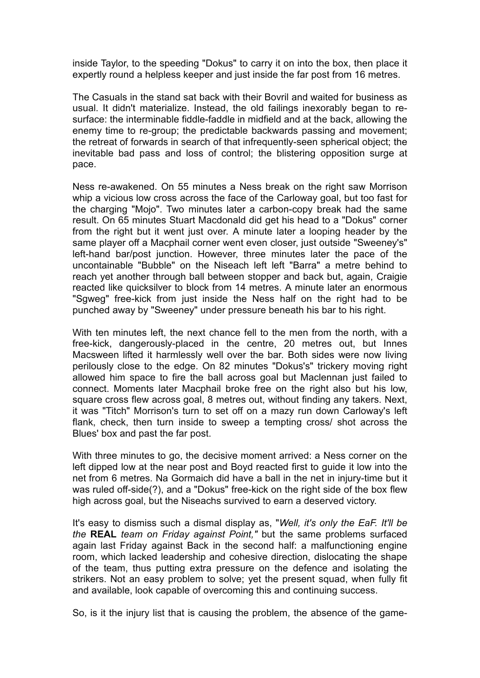inside Taylor, to the speeding "Dokus" to carry it on into the box, then place it expertly round a helpless keeper and just inside the far post from 16 metres.

The Casuals in the stand sat back with their Bovril and waited for business as usual. It didn't materialize. Instead, the old failings inexorably began to resurface: the interminable fiddle-faddle in midfield and at the back, allowing the enemy time to re-group; the predictable backwards passing and movement; the retreat of forwards in search of that infrequently-seen spherical object; the inevitable bad pass and loss of control; the blistering opposition surge at pace.

Ness re-awakened. On 55 minutes a Ness break on the right saw Morrison whip a vicious low cross across the face of the Carloway goal, but too fast for the charging "Mojo". Two minutes later a carbon-copy break had the same result. On 65 minutes Stuart Macdonald did get his head to a "Dokus" corner from the right but it went just over. A minute later a looping header by the same player off a Macphail corner went even closer, just outside "Sweeney's" left-hand bar/post junction. However, three minutes later the pace of the uncontainable "Bubble" on the Niseach left left "Barra" a metre behind to reach yet another through ball between stopper and back but, again, Craigie reacted like quicksilver to block from 14 metres. A minute later an enormous "Sgweg" free-kick from just inside the Ness half on the right had to be punched away by "Sweeney" under pressure beneath his bar to his right.

With ten minutes left, the next chance fell to the men from the north, with a free-kick, dangerously-placed in the centre, 20 metres out, but Innes Macsween lifted it harmlessly well over the bar. Both sides were now living perilously close to the edge. On 82 minutes "Dokus's" trickery moving right allowed him space to fire the ball across goal but Maclennan just failed to connect. Moments later Macphail broke free on the right also but his low, square cross flew across goal, 8 metres out, without finding any takers. Next, it was "Titch" Morrison's turn to set off on a mazy run down Carloway's left flank, check, then turn inside to sweep a tempting cross/ shot across the Blues' box and past the far post.

With three minutes to go, the decisive moment arrived: a Ness corner on the left dipped low at the near post and Boyd reacted first to guide it low into the net from 6 metres. Na Gormaich did have a ball in the net in injury-time but it was ruled off-side(?), and a "Dokus" free-kick on the right side of the box flew high across goal, but the Niseachs survived to earn a deserved victory.

It's easy to dismiss such a dismal display as, "*Well, it's only the EaF. It'll be the* **REAL** *team on Friday against Point,"* but the same problems surfaced again last Friday against Back in the second half: a malfunctioning engine room, which lacked leadership and cohesive direction, dislocating the shape of the team, thus putting extra pressure on the defence and isolating the strikers. Not an easy problem to solve; yet the present squad, when fully fit and available, look capable of overcoming this and continuing success.

So, is it the injury list that is causing the problem, the absence of the game-